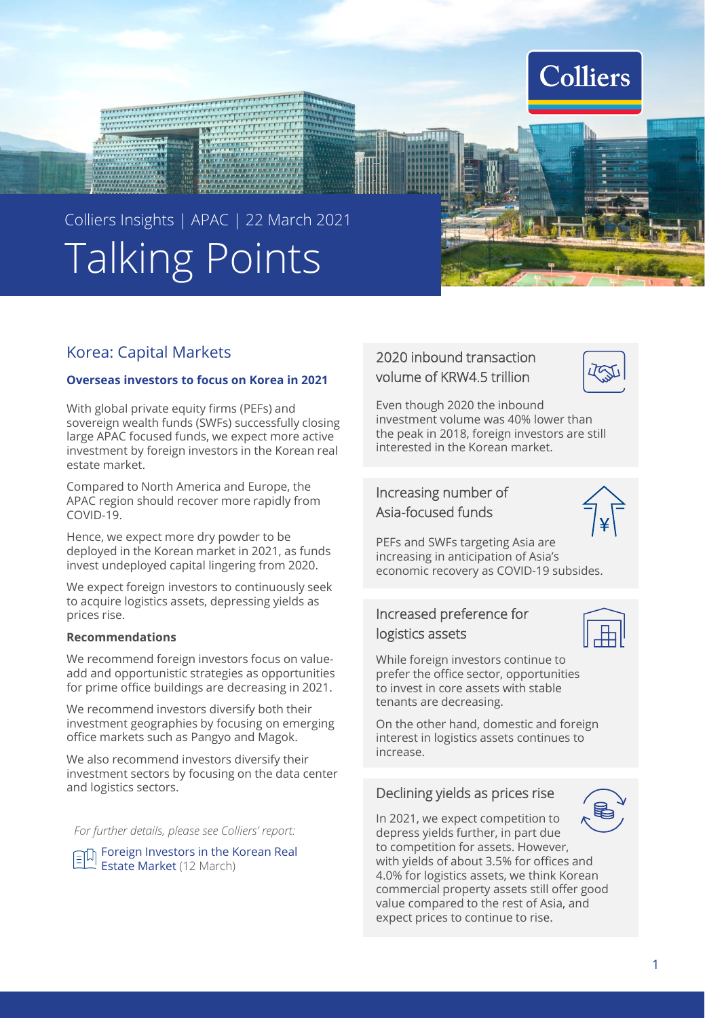

# Talking Points Colliers Insights | APAC | 22 March 2021

recorrect of the property of the correct of the correct of the correct of the correct of the correct of the co<br>The correct of the correct of the correct of the correct of the correct of the correct of the correct of the c

# Korea: Capital Markets

#### **Overseas investors to focus on Korea in 2021**

With global private equity firms (PEFs) and sovereign wealth funds (SWFs) successfully closing large APAC focused funds, we expect more active investment by foreign investors in the Korean real estate market.

Compared to North America and Europe, the APAC region should recover more rapidly from COVID-19.

Hence, we expect more dry powder to be deployed in the Korean market in 2021, as funds invest undeployed capital lingering from 2020.

We expect foreign investors to continuously seek to acquire logistics assets, depressing yields as prices rise.

#### **Recommendations**

We recommend foreign investors focus on valueadd and opportunistic strategies as opportunities for prime office buildings are decreasing in 2021.

We recommend investors diversify both their investment geographies by focusing on emerging office markets such as Pangyo and Magok.

We also recommend investors diversify their investment sectors by focusing on the data center and logistics sectors.

*For further details, please see Colliers' report:*

Foreign Investors in the Korean Real Estate Market (12 March)

# 2020 inbound transaction volume of KRW4.5 trillion



Even though 2020 the inbound investment volume was 40% lower than the peak in 2018, foreign investors are still interested in the Korean market.

# Increasing number of Asia-focused funds



PEFs and SWFs targeting Asia are increasing in anticipation of Asia's economic recovery as COVID-19 subsides.

# Increased preference for logistics assets



While foreign investors continue to prefer the office sector, opportunities to invest in core assets with stable tenants are decreasing.

On the other hand, domestic and foreign interest in logistics assets continues to increase.

## Declining yields as prices rise



In 2021, we expect competition to depress yields further, in part due to competition for assets. However, with yields of about 3.5% for offices and 4.0% for logistics assets, we think Korean commercial property assets still offer good value compared to the rest of Asia, and expect prices to continue to rise.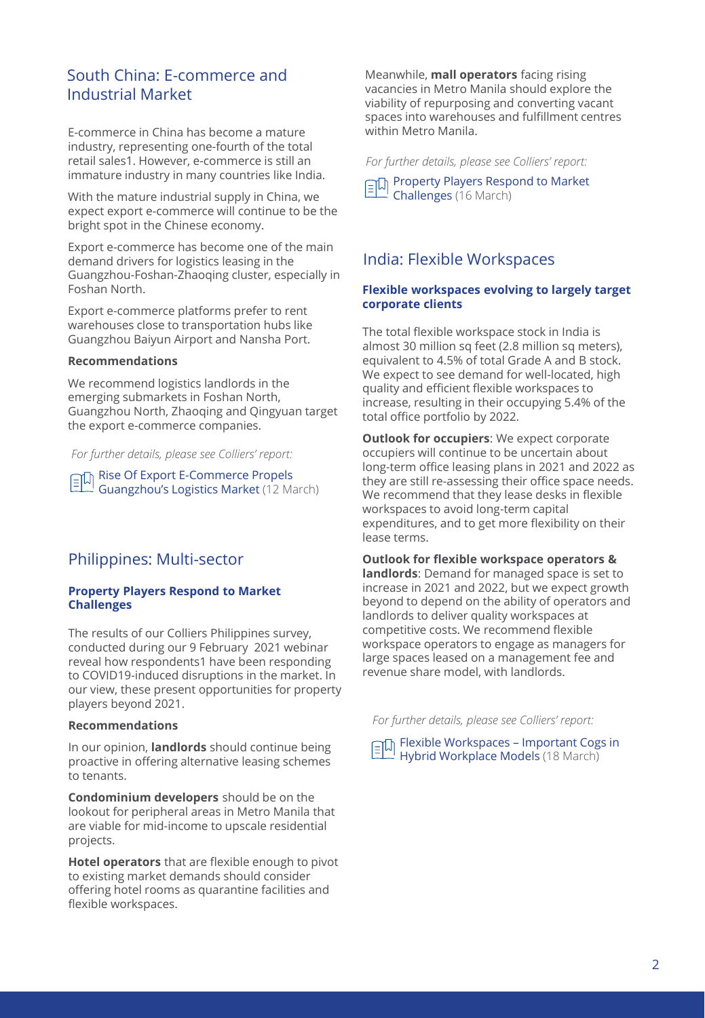# South China: E-commerce and Industrial Market

E-commerce in China has become a mature industry, representing one-fourth of the total retail sales1. However, e-commerce is still an immature industry in many countries like India.

With the mature industrial supply in China, we expect export e-commerce will continue to be the bright spot in the Chinese economy.

Export e-commerce has become one of the main demand drivers for logistics leasing in the Guangzhou-Foshan-Zhaoqing cluster, especially in Foshan North.

Export e-commerce platforms prefer to rent warehouses close to transportation hubs like Guangzhou Baiyun Airport and Nansha Port.

#### **Recommendations**

We recommend logistics landlords in the emerging submarkets in Foshan North, Guangzhou North, Zhaoqing and Qingyuan target the export e-commerce companies.

*For further details, please see Colliers' report:*

 $E = \sqrt{\frac{E}{\sqrt{2}}}$  Rise Of Export E-Commerce Propels Guangzhou's Logistics Market (12 March)

## Philippines: Multi-sector

#### **Property Players Respond to Market Challenges**

The results of our Colliers Philippines survey, conducted during our 9 February 2021 webinar reveal how respondents1 have been responding to COVID19-induced disruptions in the market. In our view, these present opportunities for property players beyond 2021.

### **Recommendations**

In our opinion, **landlords** should continue being proactive in offering alternative leasing schemes to tenants.

**Condominium developers** should be on the lookout for peripheral areas in Metro Manila that are viable for mid-income to upscale residential projects.

**Hotel operators** that are flexible enough to pivot to existing market demands should consider offering hotel rooms as quarantine facilities and flexible workspaces.

Meanwhile, **mall operators** facing rising vacancies in Metro Manila should explore the viability of repurposing and converting vacant spaces into warehouses and fulfillment centres within Metro Manila.

*For further details, please see Colliers' report:*

**Property Players Respond to Market** Challenges (16 March)

# India: Flexible Workspaces

#### **Flexible workspaces evolving to largely target corporate clients**

The total flexible workspace stock in India is almost 30 million sq feet (2.8 million sq meters), equivalent to 4.5% of total Grade A and B stock. We expect to see demand for well-located, high quality and efficient flexible workspaces to increase, resulting in their occupying 5.4% of the total office portfolio by 2022.

**Outlook for occupiers**: We expect corporate occupiers will continue to be uncertain about long-term office leasing plans in 2021 and 2022 as they are still re-assessing their office space needs. We recommend that they lease desks in flexible workspaces to avoid long-term capital expenditures, and to get more flexibility on their lease terms.

#### **Outlook for flexible workspace operators &**

**landlords**: Demand for managed space is set to increase in 2021 and 2022, but we expect growth beyond to depend on the ability of operators and landlords to deliver quality workspaces at competitive costs. We recommend flexible workspace operators to engage as managers for large spaces leased on a management fee and revenue share model, with landlords.

*For further details, please see Colliers' report:*